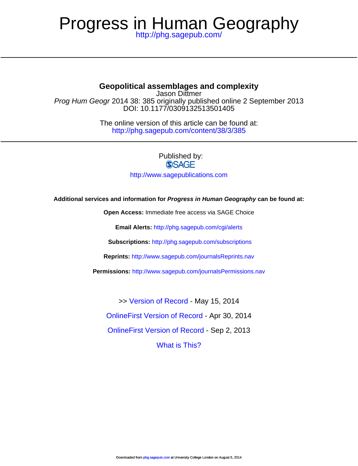# <http://phg.sagepub.com/> Progress in Human Geography

## **Geopolitical assemblages and complexity**

DOI: 10.1177/0309132513501405 Prog Hum Geogr 2014 38: 385 originally published online 2 September 2013 Jason Dittmer

> <http://phg.sagepub.com/content/38/3/385> The online version of this article can be found at:

> > Published by:<br>
> > SAGE <http://www.sagepublications.com>

**Additional services and information for Progress in Human Geography can be found at:**

**Open Access:** Immediate free access via SAGE Choice

**Email Alerts:** <http://phg.sagepub.com/cgi/alerts>

**Subscriptions:** <http://phg.sagepub.com/subscriptions>

**Reprints:** <http://www.sagepub.com/journalsReprints.nav>

**Permissions:** <http://www.sagepub.com/journalsPermissions.nav>

>> [Version of Record -](http://phg.sagepub.com/content/38/3/385.full.pdf) May 15, 2014

[OnlineFirst Version of Record -](http://phg.sagepub.com/content/early/2014/04/29/0309132513501405.full.pdf) Apr 30, 2014

[OnlineFirst Version of Record -](http://phg.sagepub.com/content/early/2013/08/31/0309132513501405.full.pdf) Sep 2, 2013

[What is This?](http://online.sagepub.com/site/sphelp/vorhelp.xhtml)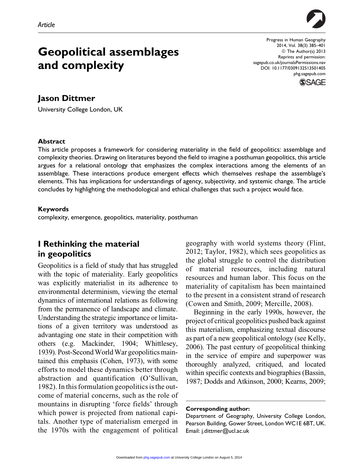

# Geopolitical assemblages and complexity

Progress in Human Geography 2014, Vol. 38(3) 385–401 © The Author(s) 2013 Reprints and permission: [sagepub.co.uk/journalsPermissions.nav](http://www.sagepub.co.uk/journalsPermissions.nav) DOI: 10.1177/0309132513501405 [phg.sagepub.com](http://phg.sagepub.com)



## Jason Dittmer

University College London, UK

### Abstract

This article proposes a framework for considering materiality in the field of geopolitics: assemblage and complexity theories. Drawing on literatures beyond the field to imagine a posthuman geopolitics, this article argues for a relational ontology that emphasizes the complex interactions among the elements of an assemblage. These interactions produce emergent effects which themselves reshape the assemblage's elements. This has implications for understandings of agency, subjectivity, and systemic change. The article concludes by highlighting the methodological and ethical challenges that such a project would face.

## Keywords

complexity, emergence, geopolitics, materiality, posthuman

# I Rethinking the material in geopolitics

Geopolitics is a field of study that has struggled with the topic of materiality. Early geopolitics was explicitly materialist in its adherence to environmental determinism, viewing the eternal dynamics of international relations as following from the permanence of landscape and climate. Understanding the strategic importance or limitations of a given territory was understood as advantaging one state in their competition with others (e.g. Mackinder, 1904; Whittlesey, 1939). Post-SecondWorldWar geopolitics maintained this emphasis (Cohen, 1973), with some efforts to model these dynamics better through abstraction and quantification (O'Sullivan, 1982). In this formulation geopolitics is the outcome of material concerns, such as the role of mountains in disrupting 'force fields' through which power is projected from national capitals. Another type of materialism emerged in the 1970s with the engagement of political

geography with world systems theory (Flint, 2012; Taylor, 1982), which sees geopolitics as the global struggle to control the distribution of material resources, including natural resources and human labor. This focus on the materiality of capitalism has been maintained to the present in a consistent strand of research (Cowen and Smith, 2009; Mercille, 2008).

Beginning in the early 1990s, however, the project of critical geopolitics pushed back against this materialism, emphasizing textual discourse as part of a new geopolitical ontology (see Kelly, 2006). The past century of geopolitical thinking in the service of empire and superpower was thoroughly analyzed, critiqued, and located within specific contexts and biographies (Bassin, 1987; Dodds and Atkinson, 2000; Kearns, 2009;

#### Corresponding author:

Department of Geography, University College London, Pearson Building, Gower Street, London WC1E 6BT, UK. Email: j.dittmer@ucl.ac.uk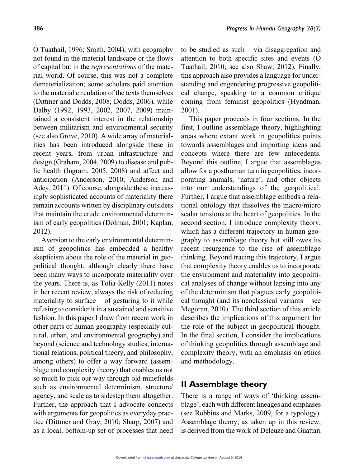O´ Tuathail, 1996; Smith, 2004), with geography not found in the material landscape or the flows of capital but in the representations of the material world. Of course, this was not a complete dematerialization; some scholars paid attention to the material circulation of the texts themselves (Dittmer and Dodds, 2008; Dodds, 2006), while Dalby (1992, 1993, 2002, 2007, 2009) maintained a consistent interest in the relationship between militarism and environmental security (see also Grove, 2010). A wide array of materialities has been introduced alongside these in recent years, from urban infrastructure and design (Graham, 2004, 2009) to disease and public health (Ingram, 2005, 2008) and affect and anticipation (Anderson, 2010; Anderson and Adey, 2011). Of course, alongside these increasingly sophisticated accounts of materiality there remain accounts written by disciplinary outsiders that maintain the crude environmental determinism of early geopolitics (Dolman, 2001; Kaplan, 2012).

Aversion to the early environmental determinism of geopolitics has embedded a healthy skepticism about the role of the material in geopolitical thought, although clearly there have been many ways to incorporate materiality over the years. There is, as Tolia-Kelly (2011) notes in her recent review, always the risk of reducing materiality to surface  $-$  of gesturing to it while refusing to consider it in a sustained and sensitive fashion. In this paper I draw from recent work in other parts of human geography (especially cultural, urban, and environmental geography) and beyond (science and technology studies, international relations, political theory, and philosophy, among others) to offer a way forward (assemblage and complexity theory) that enables us not so much to pick our way through old minefields such as environmental determinism, structure/ agency, and scale as to sidestep them altogether. Further, the approach that I advocate connects with arguments for geopolitics as everyday practice (Dittmer and Gray, 2010; Sharp, 2007) and as a local, bottom-up set of processes that need to be studied as such – via disaggregation and attention to both specific sites and events (O´ Tuathail, 2010; see also Shaw, 2012). Finally, this approach also provides a language for understanding and engendering progressive geopolitical change, speaking to a common critique coming from feminist geopolitics (Hyndman, 2001).

This paper proceeds in four sections. In the first, I outline assemblage theory, highlighting areas where extant work in geopolitics points towards assemblages and importing ideas and concepts where there are few antecedents. Beyond this outline, I argue that assemblages allow for a posthuman turn in geopolitics, incorporating animals, 'nature', and other objects into our understandings of the geopolitical. Further, I argue that assemblage embeds a relational ontology that dissolves the macro/micro scalar tensions at the heart of geopolitics. In the second section, I introduce complexity theory, which has a different trajectory in human geography to assemblage theory but still owes its recent resurgence to the rise of assemblage thinking. Beyond tracing this trajectory, I argue that complexity theory enables us to incorporate the environment and materiality into geopolitical analyses of change without lapsing into any of the determinism that plagues early geopolitical thought (and its neoclassical variants – see Megoran, 2010). The third section of this article describes the implications of this argument for the role of the subject in geopolitical thought. In the final section, I consider the implications of thinking geopolitics through assemblage and complexity theory, with an emphasis on ethics and methodology.

## II Assemblage theory

There is a range of ways of 'thinking assemblage', each with different lineages and emphases (see Robbins and Marks, 2009, for a typology). Assemblage theory, as taken up in this review, is derived from the work of Deleuze and Guattari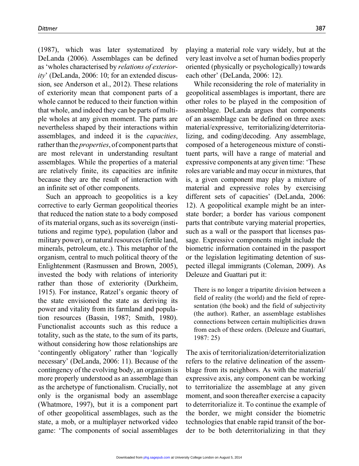(1987), which was later systematized by DeLanda (2006). Assemblages can be defined as 'wholes characterised by relations of exteriority' (DeLanda, 2006: 10; for an extended discussion, see Anderson et al., 2012). These relations of exteriority mean that component parts of a whole cannot be reduced to their function within that whole, and indeed they can be parts of multiple wholes at any given moment. The parts are nevertheless shaped by their interactions within assemblages, and indeed it is the capacities, rather than the *properties*, of component parts that are most relevant in understanding resultant assemblages. While the properties of a material are relatively finite, its capacities are infinite because they are the result of interaction with an infinite set of other components.

Such an approach to geopolitics is a key corrective to early German geopolitical theories that reduced the nation state to a body composed of its material organs, such as its sovereign (institutions and regime type), population (labor and military power), or natural resources (fertile land, minerals, petroleum, etc.). This metaphor of the organism, central to much political theory of the Enlightenment (Rasmussen and Brown, 2005), invested the body with relations of interiority rather than those of exteriority (Durkheim, 1915). For instance, Ratzel's organic theory of the state envisioned the state as deriving its power and vitality from its farmland and population resources (Bassin, 1987; Smith, 1980). Functionalist accounts such as this reduce a totality, such as the state, to the sum of its parts, without considering how those relationships are 'contingently obligatory' rather than 'logically necessary' (DeLanda, 2006: 11). Because of the contingency of the evolving body, an organism is more properly understood as an assemblage than as the archetype of functionalism. Crucially, not only is the organismal body an assemblage (Whatmore, 1997), but it is a component part of other geopolitical assemblages, such as the state, a mob, or a multiplayer networked video game: 'The components of social assemblages playing a material role vary widely, but at the very least involve a set of human bodies properly oriented (physically or psychologically) towards each other' (DeLanda, 2006: 12).

While reconsidering the role of materiality in geopolitical assemblages is important, there are other roles to be played in the composition of assemblage. DeLanda argues that components of an assemblage can be defined on three axes: material/expressive, territorializing/deterritorializing, and coding/decoding. Any assemblage, composed of a heterogeneous mixture of constituent parts, will have a range of material and expressive components at any given time: 'These roles are variable and may occur in mixtures, that is, a given component may play a mixture of material and expressive roles by exercising different sets of capacities' (DeLanda, 2006: 12). A geopolitical example might be an interstate border; a border has various component parts that contribute varying material properties, such as a wall or the passport that licenses passage. Expressive components might include the biometric information contained in the passport or the legislation legitimating detention of suspected illegal immigrants (Coleman, 2009). As Deleuze and Guattari put it:

There is no longer a tripartite division between a field of reality (the world) and the field of representation (the book) and the field of subjectivity (the author). Rather, an assemblage establishes connections between certain multiplicities drawn from each of these orders. (Deleuze and Guattari, 1987: 25)

The axis of territorialization/deterritorialization refers to the relative delineation of the assemblage from its neighbors. As with the material/ expressive axis, any component can be working to territorialize the assemblage at any given moment, and soon thereafter exercise a capacity to deterritorialize it. To continue the example of the border, we might consider the biometric technologies that enable rapid transit of the border to be both deterritorializing in that they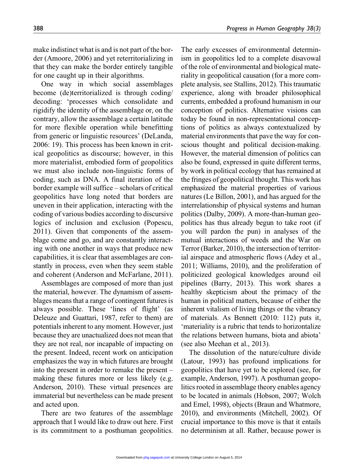make indistinct what is and is not part of the border (Amoore, 2006) and yet reterritorializing in that they can make the border entirely tangible for one caught up in their algorithms.

One way in which social assemblages become (de)territorialized is through coding/ decoding: 'processes which consolidate and rigidify the identity of the assemblage or, on the contrary, allow the assemblage a certain latitude for more flexible operation while benefitting from generic or linguistic resources' (DeLanda, 2006: 19). This process has been known in critical geopolitics as discourse; however, in this more materialist, embodied form of geopolitics we must also include non-linguistic forms of coding, such as DNA. A final iteration of the border example will suffice – scholars of critical geopolitics have long noted that borders are uneven in their application, interacting with the coding of various bodies according to discursive logics of inclusion and exclusion (Popescu, 2011). Given that components of the assemblage come and go, and are constantly interacting with one another in ways that produce new capabilities, it is clear that assemblages are constantly in process, even when they seem stable and coherent (Anderson and McFarlane, 2011).

Assemblages are composed of more than just the material, however. The dynamism of assemblages means that a range of contingent futures is always possible. These 'lines of flight' (as Deleuze and Guattari, 1987, refer to them) are potentials inherent to any moment. However, just because they are unactualized does not mean that they are not real, nor incapable of impacting on the present. Indeed, recent work on anticipation emphasizes the way in which futures are brought into the present in order to remake the present – making these futures more or less likely (e.g. Anderson, 2010). These virtual presences are immaterial but nevertheless can be made present and acted upon.

There are two features of the assemblage approach that I would like to draw out here. First is its commitment to a posthuman geopolitics.

The early excesses of environmental determinism in geopolitics led to a complete disavowal of the role of environmental and biological materiality in geopolitical causation (for a more complete analysis, see Stallins, 2012). This traumatic experience, along with broader philosophical currents, embedded a profound humanism in our conception of politics. Alternative visions can today be found in non-representational conceptions of politics as always contextualized by material environments that pave the way for conscious thought and political decision-making. However, the material dimension of politics can also be found, expressed in quite different terms, by work in political ecology that has remained at the fringes of geopolitical thought. This work has emphasized the material properties of various natures (Le Billon, 2001), and has argued for the interrelationship of physical systems and human politics (Dalby, 2009). A more-than-human geopolitics has thus already begun to take root (if you will pardon the pun) in analyses of the mutual interactions of weeds and the War on Terror (Barker, 2010), the intersection of territorial airspace and atmospheric flows (Adey et al., 2011; Williams, 2010), and the proliferation of politicized geological knowledges around oil pipelines (Barry, 2013). This work shares a healthy skepticism about the primacy of the human in political matters, because of either the inherent vitalism of living things or the vibrancy of materials. As Bennett (2010: 112) puts it, 'materiality is a rubric that tends to horizontalize the relations between humans, biota and abiota' (see also Meehan et al., 2013).

The dissolution of the nature/culture divide (Latour, 1993) has profound implications for geopolitics that have yet to be explored (see, for example, Anderson, 1997). A posthuman geopolitics rooted in assemblage theory enables agency to be located in animals (Hobson, 2007; Wolch and Emel, 1998), objects (Braun and Whatmore, 2010), and environments (Mitchell, 2002). Of crucial importance to this move is that it entails no determinism at all. Rather, because power is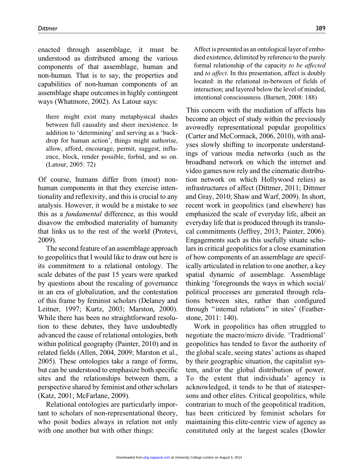enacted through assemblage, it must be understood as distributed among the various components of that assemblage, human and non-human. That is to say, the properties and capabilities of non-human components of an assemblage shape outcomes in highly contingent ways (Whatmore, 2002). As Latour says:

there might exist many metaphysical shades between full causality and sheer inexistence. In addition to 'determining' and serving as a 'backdrop for human action', things might authorise, allow, afford, encourage, permit, suggest, influence, block, render possible, forbid, and so on. (Latour, 2005: 72)

Of course, humans differ from (most) nonhuman components in that they exercise intentionality and reflexivity, and this is crucial to any analysis. However, it would be a mistake to see this as a fundamental difference, as this would disavow the embodied materiality of humanity that links us to the rest of the world (Protevi, 2009).

The second feature of an assemblage approach to geopolitics that I would like to draw out here is its commitment to a relational ontology. The scale debates of the past 15 years were sparked by questions about the rescaling of governance in an era of globalization, and the contestation of this frame by feminist scholars (Delaney and Leitner, 1997; Kurtz, 2003; Marston, 2000). While there has been no straightforward resolution to these debates, they have undoubtedly advanced the cause of relational ontologies, both within political geography (Painter, 2010) and in related fields (Allen, 2004, 2009; Marston et al., 2005). These ontologies take a range of forms, but can be understood to emphasize both specific sites and the relationships between them, a perspective shared by feminist and other scholars (Katz, 2001; McFarlane, 2009).

Relational ontologies are particularly important to scholars of non-representational theory, who posit bodies always in relation not only with one another but with other things:

Affect is presented as an ontological layer of embodied existence, delimited by reference to the purely formal relationship of the capacity to be affected and to affect. In this presentation, affect is doubly located: in the relational in-between of fields of interaction; and layered below the level of minded, intentional consciousness. (Barnett, 2008: 188)

This concern with the mediation of affects has become an object of study within the previously avowedly representational popular geopolitics (Carter and McCormack, 2006, 2010), with analyses slowly shifting to incorporate understandings of various media networks (such as the broadband network on which the internet and video games now rely and the cinematic distribution network on which Hollywood relies) as infrastructures of affect (Dittmer, 2011; Dittmer and Gray, 2010; Shaw and Warf, 2009). In short, recent work in geopolitics (and elsewhere) has emphasized the scale of everyday life, albeit an everyday life that is produced through its translocal commitments (Jeffrey, 2013; Painter, 2006). Engagements such as this usefully situate scholars in critical geopolitics for a close examination of how components of an assemblage are specifically articulated in relation to one another, a key spatial dynamic of assemblage. Assemblage thinking 'foregrounds the ways in which social/ political processes are generated through relations between sites, rather than configured through ''internal relations'' in sites' (Featherstone, 2011: 140).

Work in geopolitics has often struggled to negotiate the macro/micro divide. 'Traditional' geopolitics has tended to favor the authority of the global scale, seeing states' actions as shaped by their geographic situation, the capitalist system, and/or the global distribution of power. To the extent that individuals' agency is acknowledged, it tends to be that of statespersons and other elites. Critical geopolitics, while contrarian to much of the geopolitical tradition, has been criticized by feminist scholars for maintaining this elite-centric view of agency as constituted only at the largest scales (Dowler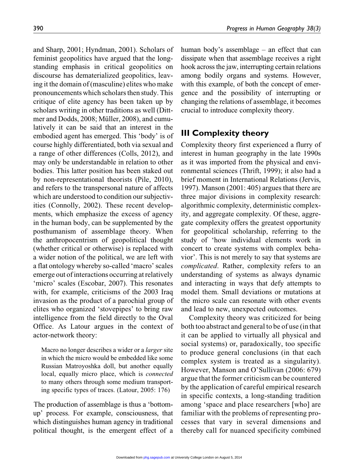and Sharp, 2001; Hyndman, 2001). Scholars of feminist geopolitics have argued that the longstanding emphasis in critical geopolitics on discourse has dematerialized geopolitics, leaving it the domain of (masculine) elites who make pronouncements which scholars then study. This critique of elite agency has been taken up by scholars writing in other traditions as well (Dittmer and Dodds, 2008; Müller, 2008), and cumulatively it can be said that an interest in the embodied agent has emerged. This 'body' is of course highly differentiated, both via sexual and a range of other differences (Colls, 2012), and may only be understandable in relation to other bodies. This latter position has been staked out by non-representational theorists (Pile, 2010), and refers to the transpersonal nature of affects which are understood to condition our subjectivities (Connolly, 2002). These recent developments, which emphasize the excess of agency in the human body, can be supplemented by the posthumanism of assemblage theory. When the anthropocentrism of geopolitical thought (whether critical or otherwise) is replaced with a wider notion of the political, we are left with a flat ontology whereby so-called 'macro' scales emerge out of interactions occurring at relatively 'micro' scales (Escobar, 2007). This resonates with, for example, criticisms of the 2003 Iraq invasion as the product of a parochial group of elites who organized 'stovepipes' to bring raw intelligence from the field directly to the Oval Office. As Latour argues in the context of actor-network theory:

Macro no longer describes a wider or a larger site in which the micro would be embedded like some Russian Matroyoshka doll, but another equally local, equally micro place, which is connected to many others through some medium transporting specific types of traces. (Latour, 2005: 176)

The production of assemblage is thus a 'bottomup' process. For example, consciousness, that which distinguishes human agency in traditional political thought, is the emergent effect of a

human body's assemblage – an effect that can dissipate when that assemblage receives a right hook across the jaw, interrupting certain relations among bodily organs and systems. However, with this example, of both the concept of emergence and the possibility of interrupting or changing the relations of assemblage, it becomes crucial to introduce complexity theory.

# III Complexity theory

Complexity theory first experienced a flurry of interest in human geography in the late 1990s as it was imported from the physical and environmental sciences (Thrift, 1999); it also had a brief moment in International Relations (Jervis, 1997). Manson (2001: 405) argues that there are three major divisions in complexity research: algorithmic complexity, deterministic complexity, and aggregate complexity. Of these, aggregate complexity offers the greatest opportunity for geopolitical scholarship, referring to the study of 'how individual elements work in concert to create systems with complex behavior'. This is not merely to say that systems are complicated. Rather, complexity refers to an understanding of systems as always dynamic and interacting in ways that defy attempts to model them. Small deviations or mutations at the micro scale can resonate with other events and lead to new, unexpected outcomes.

Complexity theory was criticized for being both too abstract and general to be of use (in that it can be applied to virtually all physical and social systems) or, paradoxically, too specific to produce general conclusions (in that each complex system is treated as a singularity). However, Manson and O'Sullivan (2006: 679) argue that the former criticism can be countered by the application of careful empirical research in specific contexts, a long-standing tradition among 'space and place researchers [who] are familiar with the problems of representing processes that vary in several dimensions and thereby call for nuanced specificity combined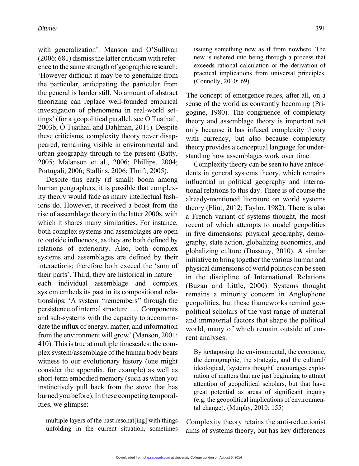with generalization'. Manson and O'Sullivan (2006: 681) dismiss the latter criticism with reference to the same strength of geographic research: 'However difficult it may be to generalize from the particular, anticipating the particular from the general is harder still. No amount of abstract theorizing can replace well-founded empirical investigation of phenomena in real-world settings' (for a geopolitical parallel, see O´ Tuathail, 2003b; O´ Tuathail and Dahlman, 2011). Despite these criticisms, complexity theory never disappeared, remaining visible in environmental and urban geography through to the present (Batty, 2005; Malanson et al., 2006; Phillips, 2004; Portugali, 2006; Stallins, 2006; Thrift, 2005).

Despite this early (if small) boom among human geographers, it is possible that complexity theory would fade as many intellectual fashions do. However, it received a boost from the rise of assemblage theory in the latter 2000s, with which it shares many similarities. For instance, both complex systems and assemblages are open to outside influences, as they are both defined by relations of exteriority. Also, both complex systems and assemblages are defined by their interactions; therefore both exceed the 'sum of their parts'. Third, they are historical in nature – each individual assemblage and complex system embeds its past in its compositional relationships: 'A system ''remembers'' through the persistence of internal structure ... Components and sub-systems with the capacity to accommodate the influx of energy, matter, and information from the environment will grow' (Manson, 2001: 410). This is true at multiple timescales: the complex system/assemblage of the human body bears witness to our evolutionary history (one might consider the appendix, for example) as well as short-term embodied memory (such as when you instinctively pull back from the stove that has burned you before). In these competing temporalities, we glimpse:

multiple layers of the past resonat[ing] with things unfolding in the current situation, sometimes issuing something new as if from nowhere. The new is ushered into being through a process that exceeds rational calculation or the derivation of practical implications from universal principles. (Connolly, 2010: 69)

The concept of emergence relies, after all, on a sense of the world as constantly becoming (Prigogine, 1980). The congruence of complexity theory and assemblage theory is important not only because it has infused complexity theory with currency, but also because complexity theory provides a conceptual language for understanding how assemblages work over time.

Complexity theory can be seen to have antecedents in general systems theory, which remains influential in political geography and international relations to this day. There is of course the already-mentioned literature on world systems theory (Flint, 2012; Taylor, 1982). There is also a French variant of systems thought, the most recent of which attempts to model geopolitics in five dimensions: physical geography, demography, state action, globalizing economics, and globalizing culture (Dussouy, 2010). A similar initiative to bring together the various human and physical dimensions of world politics can be seen in the discipline of International Relations (Buzan and Little, 2000). Systems thought remains a minority concern in Anglophone geopolitics, but these frameworks remind geopolitical scholars of the vast range of material and immaterial factors that shape the political world, many of which remain outside of current analyses:

By juxtaposing the environmental, the economic, the demographic, the strategic, and the cultural/ ideological, [systems thought] encourages exploration of matters that are just beginning to attract attention of geopolitical scholars, but that have great potential as areas of significant inquiry (e.g. the geopolitical implications of environmental change). (Murphy, 2010: 155)

Complexity theory retains the anti-reductionist aims of systems theory, but has key differences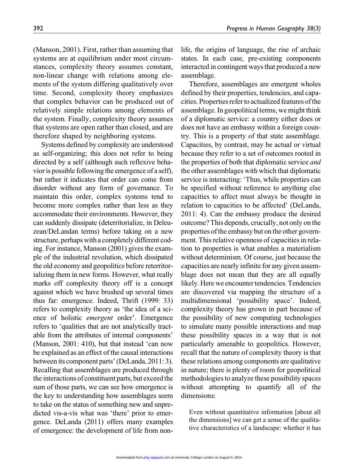Downloaded from [phg.sagepub.com](http://phg.sagepub.com/) at University College London on August 5, 2014

(Manson, 2001). First, rather than assuming that systems are at equilibrium under most circumstances, complexity theory assumes constant, non-linear change with relations among elements of the system differing qualitatively over time. Second, complexity theory emphasizes that complex behavior can be produced out of relatively simple relations among elements of the system. Finally, complexity theory assumes that systems are open rather than closed, and are therefore shaped by neighboring systems.

Systems defined by complexity are understood as self-organizing; this does not refer to being directed by a self (although such reflexive behavior is possible following the emergence of a self), but rather it indicates that order can come from disorder without any form of governance. To maintain this order, complex systems tend to become more complex rather than less as they accommodate their environments. However, they can suddenly dissipate (deterritorialize, in Deleuzean/DeLandan terms) before taking on a new structure, perhaps with a completely different coding. For instance, Manson (2001) gives the example of the industrial revolution, which dissipated the old economy and geopolitics before reterritorializing them in new forms. However, what really marks off complexity theory off is a concept against which we have brushed up several times thus far: emergence. Indeed, Thrift (1999: 33) refers to complexity theory as 'the idea of a science of holistic emergent order'. Emergence refers to 'qualities that are not analytically tractable from the attributes of internal components' (Manson, 2001: 410), but that instead 'can now be explained as an effect of the causal interactions between its component parts' (DeLanda, 2011: 3). Recalling that assemblages are produced through the interactions of constituent parts, but exceed the sum of those parts, we can see how emergence is the key to understanding how assemblages seem to take on the status of something new and unpredicted vis-a-vis what was 'there' prior to emergence. DeLanda (2011) offers many examples of emergence: the development of life from nonlife, the origins of language, the rise of archaic states. In each case, pre-existing components interacted in contingent ways that produced a new assemblage.

Therefore, assemblages are emergent wholes defined by their properties, tendencies, and capacities. Properties referto actualized features ofthe assemblage. In geopolitical terms, we might think of a diplomatic service: a country either does or does not have an embassy within a foreign country. This is a property of that state assemblage. Capacities, by contrast, may be actual or virtual because they refer to a set of outcomes rooted in the properties of both that diplomatic service and the other assemblages with which that diplomatic service is interacting: 'Thus, while properties can be specified without reference to anything else capacities to affect must always be thought in relation to capacities to be affected' (DeLanda, 2011: 4). Can the embassy produce the desired outcome? This depends, crucially, not only on the properties ofthe embassy but on the other government. This relative openness of capacities in relation to properties is what enables a materialism without determinism. Of course, just because the capacities are nearly infinite for any given assemblage does not mean that they are all equally likely. Here we encounter tendencies. Tendencies are discovered via mapping the structure of a multidimensional 'possibility space'. Indeed, complexity theory has grown in part because of the possibility of new computing technologies to simulate many possible interactions and map these possibility spaces in a way that is not particularly amenable to geopolitics. However, recall that the nature of complexity theory is that these relations among components are qualitative in nature; there is plenty of room for geopolitical methodologies to analyze these possibility spaces without attempting to quantify all of the dimensions:

Even without quantitative information [about all the dimensions] we can get a sense of the qualitative characteristics of a landscape: whether it has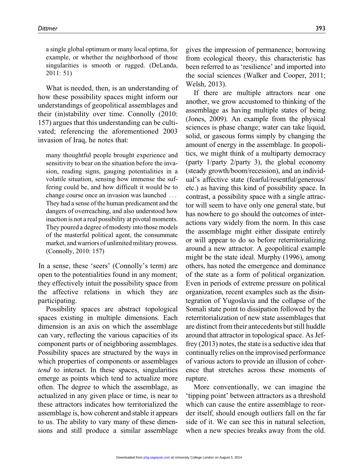a single global optimum or many local optima, for example, or whether the neighborhood of those singularities is smooth or rugged. (DeLanda, 2011: 51)

What is needed, then, is an understanding of how these possibility spaces might inform our understandings of geopolitical assemblages and their (in)stability over time. Connolly (2010: 157) argues that this understanding can be cultivated; referencing the aforementioned 2003 invasion of Iraq, he notes that:

many thoughtful people brought experience and sensitivity to bear on the situation before the invasion, reading signs, gauging potentialities in a volatile situation, sensing how immense the suffering could be, and how difficult it would be to change course once an invasion was launched ... They had a sense of the human predicament and the dangers of overreaching, and also understood how inaction is not a real possibility at pivotal moments. They poured a degree of modesty into those models of the masterful political agent, the consummate market, and warriors of unlimited military prowess. (Connolly, 2010: 157)

In a sense, these 'seers' (Connolly's term) are open to the potentialities found in any moment; they effectively intuit the possibility space from the affective relations in which they are participating.

Possibility spaces are abstract topological spaces existing in multiple dimensions. Each dimension is an axis on which the assemblage can vary, reflecting the various capacities of its component parts or of neighboring assemblages. Possibility spaces are structured by the ways in which properties of components or assemblages tend to interact. In these spaces, singularities emerge as points which tend to actualize more often. The degree to which the assemblage, as actualized in any given place or time, is near to these attractors indicates how territorialized the assemblage is, how coherent and stable it appears to us. The ability to vary many of these dimensions and still produce a similar assemblage gives the impression of permanence; borrowing from ecological theory, this characteristic has been referred to as 'resilience' and imported into the social sciences (Walker and Cooper, 2011; Welsh, 2013).

If there are multiple attractors near one another, we grow accustomed to thinking of the assemblage as having multiple states of being (Jones, 2009). An example from the physical sciences is phase change; water can take liquid, solid, or gaseous forms simply by changing the amount of energy in the assemblage. In geopolitics, we might think of a multiparty democracy (party 1/party 2/party 3), the global economy (steady growth/boom/recession), and an individual's affective state (fearful/resentful/generous/ etc.) as having this kind of possibility space. In contrast, a possibility space with a single attractor will seem to have only one general state, but has nowhere to go should the outcomes of interactions vary widely from the norm. In this case the assemblage might either dissipate entirely or will appear to do so before reterritorializing around a new attractor. A geopolitical example might be the state ideal. Murphy (1996), among others, has noted the emergence and dominance of the state as a form of political organization. Even in periods of extreme pressure on political organization, recent examples such as the disintegration of Yugoslavia and the collapse of the Somali state point to dissipation followed by the reterritorialization of new state assemblages that are distinct from their antecedents but still huddle around that attractor in topological space. As Jeffrey (2013) notes, the state is a seductive idea that continually relies on the improvised performance of various actors to provide an illusion of coherence that stretches across these moments of rupture.

More conventionally, we can imagine the 'tipping point' between attractors as a threshold which can cause the entire assemblage to reorder itself, should enough outliers fall on the far side of it. We can see this in natural selection, when a new species breaks away from the old.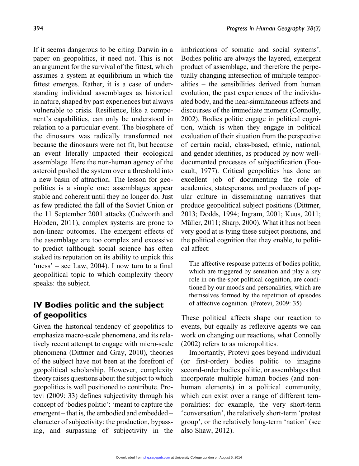If it seems dangerous to be citing Darwin in a paper on geopolitics, it need not. This is not an argument for the survival of the fittest, which assumes a system at equilibrium in which the fittest emerges. Rather, it is a case of understanding individual assemblages as historical in nature, shaped by past experiences but always vulnerable to crisis. Resilience, like a component's capabilities, can only be understood in relation to a particular event. The biosphere of the dinosaurs was radically transformed not because the dinosaurs were not fit, but because an event literally impacted their ecological assemblage. Here the non-human agency of the asteroid pushed the system over a threshold into a new basin of attraction. The lesson for geopolitics is a simple one: assemblages appear stable and coherent until they no longer do. Just as few predicted the fall of the Soviet Union or the 11 September 2001 attacks (Cudworth and Hobden, 2011), complex systems are prone to non-linear outcomes. The emergent effects of the assemblage are too complex and excessive to predict (although social science has often staked its reputation on its ability to unpick this 'mess' – see Law, 2004). I now turn to a final geopolitical topic to which complexity theory speaks: the subject.

# IV Bodies politic and the subject of geopolitics

Given the historical tendency of geopolitics to emphasize macro-scale phenomena, and its relatively recent attempt to engage with micro-scale phenomena (Dittmer and Gray, 2010), theories of the subject have not been at the forefront of geopolitical scholarship. However, complexity theory raises questions about the subject to which geopolitics is well positioned to contribute. Protevi (2009: 33) defines subjectivity through his concept of 'bodies politic': 'meant to capture the emergent – that is, the embodied and embedded – character of subjectivity: the production, bypassing, and surpassing of subjectivity in the

imbrications of somatic and social systems'. Bodies politic are always the layered, emergent product of assemblage, and therefore the perpetually changing intersection of multiple temporalities – the sensibilities derived from human evolution, the past experiences of the individuated body, and the near-simultaneous affects and discourses of the immediate moment (Connolly, 2002). Bodies politic engage in political cognition, which is when they engage in political evaluation of their situation from the perspective of certain racial, class-based, ethnic, national, and gender identities, as produced by now welldocumented processes of subjectification (Foucault, 1977). Critical geopolitics has done an excellent job of documenting the role of academics, statespersons, and producers of popular culture in disseminating narratives that produce geopolitical subject positions (Dittmer, 2013; Dodds, 1994; Ingram, 2001; Kuus, 2011; Müller, 2011; Sharp, 2000). What it has not been very good at is tying these subject positions, and the political cognition that they enable, to political affect:

The affective response patterns of bodies politic, which are triggered by sensation and play a key role in on-the-spot political cognition, are conditioned by our moods and personalities, which are themselves formed by the repetition of episodes of affective cognition. (Protevi, 2009: 35)

These political affects shape our reaction to events, but equally as reflexive agents we can work on changing our reactions, what Connolly (2002) refers to as micropolitics.

Importantly, Protevi goes beyond individual (or first-order) bodies politic to imagine second-order bodies politic, or assemblages that incorporate multiple human bodies (and nonhuman elements) in a political community, which can exist over a range of different temporalities: for example, the very short-term 'conversation', the relatively short-term 'protest group', or the relatively long-term 'nation' (see also Shaw, 2012).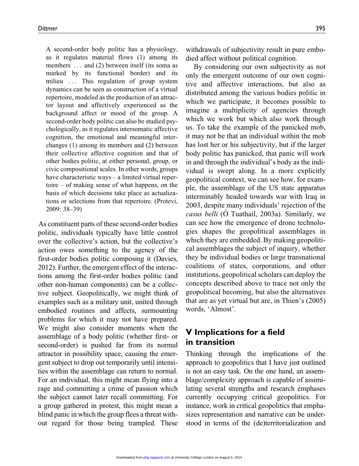A second-order body politic has a physiology, as it regulates material flows (1) among its members ... and (2) between itself (its soma as marked by its functional border) and its milieu ... This regulation of group system dynamics can be seen as construction of a virtual repertoire, modeled as the production of an attractor layout and affectively experienced as the background affect or mood of the group. A second-order body politic can also be studied psychologically, as it regulates intersomatic affective cognition, the emotional and meaningful interchanges (1) among its members and (2) between their collective affective cognition and that of other bodies politic, at either personal, group, or civic compositional scales. In other words, groups have characteristic ways – a limited virtual repertoire – of making sense of what happens, on the basis of which decisions take place as actualizations or selections from that repertoire. (Protevi, 2009: 38–39)

As constituent parts of these second-order bodies politic, individuals typically have little control over the collective's action, but the collective's action owes something to the agency of the first-order bodies politic composing it (Davies, 2012). Further, the emergent effect of the interactions among the first-order bodies politic (and other non-human components) can be a collective subject. Geopolitically, we might think of examples such as a military unit, united through embodied routines and affects, surmounting problems for which it may not have prepared. We might also consider moments when the assemblage of a body politic (whether first- or second-order) is pushed far from its normal attractor in possibility space, causing the emergent subject to drop out temporarily until intensities within the assemblage can return to normal. For an individual, this might mean flying into a rage and committing a crime of passion which the subject cannot later recall committing. For a group gathered in protest, this might mean a blind panic in which the group flees a threat without regard for those being trampled. These withdrawals of subjectivity result in pure embodied affect without political cognition.

By considering our own subjectivity as not only the emergent outcome of our own cognitive and affective interactions, but also as distributed among the various bodies politic in which we participate, it becomes possible to imagine a multiplicity of agencies through which we work but which also work through us. To take the example of the panicked mob, it may not be that an individual within the mob has lost her or his subjectivity, but if the larger body politic has panicked, that panic will work in and through the individual's body as the individual is swept along. In a more explicitly geopolitical context, we can see how, for example, the assemblage of the US state apparatus interminably headed towards war with Iraq in 2003, despite many individuals' rejection of the casus belli (O´ Tuathail, 2003a). Similarly, we can see how the emergence of drone technologies shapes the geopolitical assemblages in which they are embedded. By making geopolitical assemblages the subject of inquiry, whether they be individual bodies or large transnational coalitions of states, corporations, and other institutions, geopolitical scholars can deploy the concepts described above to trace not only the geopolitical becoming, but also the alternatives that are as yet virtual but are, in Thien's (2005) words, 'Almost'.

## V Implications for a field in transition

Thinking through the implications of the approach to geopolitics that I have just outlined is not an easy task. On the one hand, an assemblage/complexity approach is capable of assimilating several strengths and research emphases currently occupying critical geopolitics. For instance, work in critical geopolitics that emphasizes representation and narrative can be understood in terms of the (de)territorialization and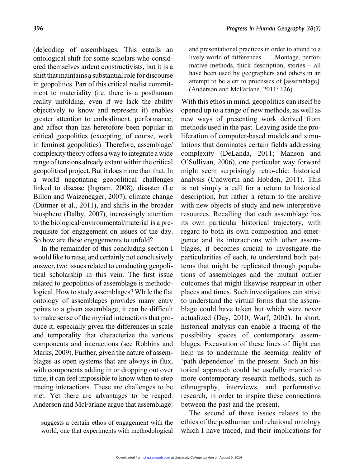(de)coding of assemblages. This entails an ontological shift for some scholars who considered themselves ardent constructivists, but it is a shift that maintains a substantial role for discourse in geopolitics. Part of this critical realist commitment to materiality (i.e. there is a posthuman reality unfolding, even if we lack the ability objectively to know and represent it) enables greater attention to embodiment, performance, and affect than has heretofore been popular in critical geopolitics (excepting, of course, work in feminist geopolitics). Therefore, assemblage/ complexity theory offers a way to integrate a wide range of tensions already extant within the critical geopolitical project. But it does more than that. In a world negotiating geopolitical challenges linked to disease (Ingram, 2008), disaster (Le Billon and Waizenegger, 2007), climate change (Dittmer et al., 2011), and shifts in the broader biosphere (Dalby, 2007), increasingly attention to the biological/environmental/material is a prerequisite for engagement on issues of the day. So how are these engagements to unfold?

In the remainder of this concluding section I would like to raise, and certainly not conclusively answer, two issues related to conducting geopolitical scholarship in this vein. The first issue related to geopolitics of assemblage is methodological. How to study assemblages?While the flat ontology of assemblages provides many entry points to a given assemblage, it can be difficult to make sense of the myriad interactions that produce it, especially given the differences in scale and temporality that characterize the various components and interactions (see Robbins and Marks, 2009). Further, given the nature of assemblages as open systems that are always in flux, with components adding in or dropping out over time, it can feel impossible to know when to stop tracing interactions. These are challenges to be met. Yet there are advantages to be reaped. Anderson and McFarlane argue that assemblage:

suggests a certain ethos of engagement with the world, one that experiments with methodological and presentational practices in order to attend to a lively world of differences ... Montage, performative methods, thick description, stories – all have been used by geographers and others in an attempt to be alert to processes of [assemblage]. (Anderson and McFarlane, 2011: 126)

With this ethos in mind, geopolitics can itself be opened up to a range of new methods, as well as new ways of presenting work derived from methods used in the past. Leaving aside the proliferation of computer-based models and simulations that dominates certain fields addressing complexity (DeLanda, 2011; Manson and O'Sullivan, 2006), one particular way forward might seem surprisingly retro-chic: historical analysis (Cudworth and Hobden, 2011). This is not simply a call for a return to historical description, but rather a return to the archive with new objects of study and new interpretive resources. Recalling that each assemblage has its own particular historical trajectory, with regard to both its own composition and emergence and its interactions with other assemblages, it becomes crucial to investigate the particularities of each, to understand both patterns that might be replicated through populations of assemblages and the mutant outlier outcomes that might likewise reappear in other places and times. Such investigations can strive to understand the virtual forms that the assemblage could have taken but which were never actualized (Day, 2010; Warf, 2002). In short, historical analysis can enable a tracing of the possibility spaces of contemporary assemblages. Excavation of these lines of flight can help us to undermine the seeming reality of 'path dependence' in the present. Such an historical approach could be usefully married to more contemporary research methods, such as ethnography, interviews, and performative research, in order to inspire these connections between the past and the present.

The second of these issues relates to the ethics of the posthuman and relational ontology which I have traced, and their implications for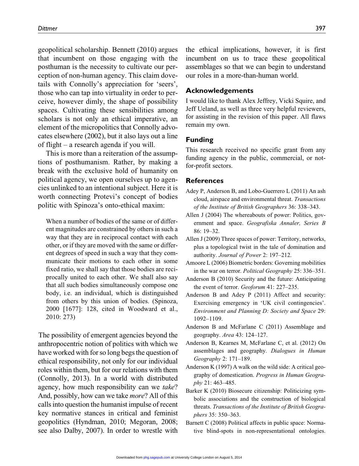geopolitical scholarship. Bennett (2010) argues that incumbent on those engaging with the posthuman is the necessity to cultivate our perception of non-human agency. This claim dovetails with Connolly's appreciation for 'seers', those who can tap into virtuality in order to perceive, however dimly, the shape of possibility spaces. Cultivating these sensibilities among scholars is not only an ethical imperative, an element of the micropolitics that Connolly advocates elsewhere (2002), but it also lays out a line of flight – a research agenda if you will.

This is more than a reiteration of the assumptions of posthumanism. Rather, by making a break with the exclusive hold of humanity on political agency, we open ourselves up to agencies unlinked to an intentional subject. Here it is worth connecting Protevi's concept of bodies politic with Spinoza's onto-ethical maxim:

When a number of bodies of the same or of different magnitudes are constrained by others in such a way that they are in reciprocal contact with each other, or if they are moved with the same or different degrees of speed in such a way that they communicate their motions to each other in some fixed ratio, we shall say that those bodies are reciprocally united to each other. We shall also say that all such bodies simultaneously compose one body, i.e. an individual, which is distinguished from others by this union of bodies. (Spinoza, 2000 [1677]: 128, cited in Woodward et al., 2010: 273)

The possibility of emergent agencies beyond the anthropocentric notion of politics with which we have worked with for so long begs the question of ethical responsibility, not only for our individual roles within them, but for our relations with them (Connolly, 2013). In a world with distributed agency, how much responsibility can we take? And, possibly, how can we take more? All of this calls into question the humanist impulse of recent key normative stances in critical and feminist geopolitics (Hyndman, 2010; Megoran, 2008; see also Dalby, 2007). In order to wrestle with the ethical implications, however, it is first incumbent on us to trace these geopolitical assemblages so that we can begin to understand our roles in a more-than-human world.

#### Acknowledgements

I would like to thank Alex Jeffrey, Vicki Squire, and Jeff Ueland, as well as three very helpful reviewers, for assisting in the revision of this paper. All flaws remain my own.

### Funding

This research received no specific grant from any funding agency in the public, commercial, or notfor-profit sectors.

#### **References**

- Adey P, Anderson B, and Lobo-Guerrero L (2011) An ash cloud, airspace and environmental threat. Transactions of the Institute of British Geographers 36: 338–343.
- Allen J (2004) The whereabouts of power: Politics, government and space. Geografiska Annaler, Series B 86: 19–32.
- Allen J (2009) Three spaces of power: Territory, networks, plus a topological twist in the tale of domination and authority. Journal of Power 2: 197–212.
- Amoore L (2006) Biometric borders: Governing mobilities in the war on terror. Political Geography 25: 336–351.
- Anderson B (2010) Security and the future: Anticipating the event of terror. Geoforum 41: 227–235.
- Anderson B and Adey P (2011) Affect and security: Exercising emergency in 'UK civil contingencies'. Environment and Planning D: Society and Space 29: 1092–1109.
- Anderson B and McFarlane C (2011) Assemblage and geography. Area 43: 124–127.
- Anderson B, Kearnes M, McFarlane C, et al. (2012) On assemblages and geography. Dialogues in Human Geography 2: 171–189.
- Anderson K (1997) A walk on the wild side: A critical geography of domestication. Progress in Human Geography 21: 463–485.
- Barker K (2010) Biosecure citizenship: Politicizing symbolic associations and the construction of biological threats. Transactions of the Institute of British Geographers 35: 350–363.
- Barnett C (2008) Political affects in public space: Normative blind-spots in non-representational ontologies.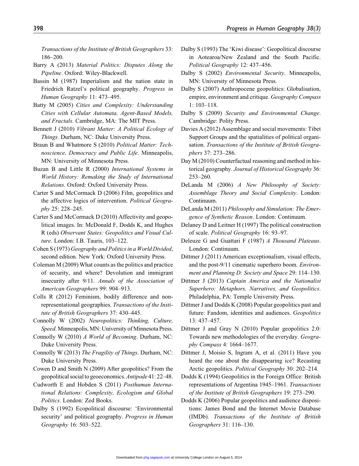Transactions of the Institute of British Geographers 33: 186–200.

- Barry A (2013) Material Politics: Disputes Along the Pipeline. Oxford: Wiley-Blackwell.
- Bassin M (1987) Imperialism and the nation state in Friedrich Ratzel's political geography. Progress in Human Geography 11: 473–495.
- Batty M (2005) Cities and Complexity: Understanding Cities with Cellular Automata, Agent-Based Models, and Fractals. Cambridge, MA: The MIT Press.
- Bennett J (2010) Vibrant Matter: A Political Ecology of Things. Durham, NC: Duke University Press.
- Braun B and Whatmore S (2010) Political Matter: Technoscience, Democracy and Public Life. Minneapolis, MN: University of Minnesota Press.
- Buzan B and Little R (2000) International Systems in World History: Remaking the Study of International Relations. Oxford: Oxford University Press.
- Carter S and McCormack D (2006) Film, geopolitics and the affective logics of intervention. Political Geography 25: 228–245.
- Carter S and McCormack D (2010) Affectivity and geopolitical images. In: McDonald F, Dodds K, and Hughes R (eds) Observant States: Geopolitics and Visual Culture. London: I.B. Tauris, 103–122.
- Cohen S (1973) Geography and Politics in a World Divided, second edition. New York: Oxford University Press.
- Coleman M (2009) What counts as the politics and practice of security, and where? Devolution and immigrant insecurity after 9/11. Annals of the Association of American Geographers 99: 904–913.
- Colls R (2012) Feminism, bodily difference and nonrepresentational geographies. Transactions of the Institute of British Geographers 37: 430–445.
- Connolly W (2002) Neuropolitics: Thinking, Culture, Speed. Minneapolis, MN: University of Minnesota Press.
- Connolly W (2010) A World of Becoming. Durham, NC: Duke University Press.
- Connolly W (2013) The Fragility of Things. Durham, NC: Duke University Press.
- Cowen D and Smith N (2009) After geopolitics? From the geopolitical social to geoeconomics. Antipode 41: 22–48.
- Cudworth E and Hobden S (2011) Posthuman International Relations: Complexity, Ecologism and Global Politics. London: Zed Books.
- Dalby S (1992) Ecopolitical discourse: 'Environmental security' and political geography. Progress in Human Geography 16: 503–522.
- Dalby S (1993) The 'Kiwi disease': Geopolitical discourse in Aotearoa/New Zealand and the South Pacific. Political Geography 12: 437–456.
- Dalby S (2002) Environmental Security. Minneapolis, MN: University of Minnesota Press.
- Dalby S (2007) Anthropocene geopolitics: Globalisation, empire, environment and critique. Geography Compass 1: 103–118.
- Dalby S (2009) Security and Environmental Change. Cambridge: Polity Press.
- Davies A (2012) Assemblage and social movements: Tibet Support Groups and the spatialities of political organisation. Transactions of the Institute of British Geographers 37: 273–286.
- Day M (2010) Counterfactual reasoning and method in historical geography. Journal of Historical Geography 36: 253–260.
- DeLanda M (2006) A New Philosophy of Society: Assemblage Theory and Social Complexity. London: Continuum.
- DeLanda M (2011) Philosophy and Simulation: The Emergence of Synthetic Reason. London: Continuum.
- Delaney D and Leitner H (1997) The political construction of scale. Political Geography 16: 93–97.
- Deleuze G and Guattari F (1987) A Thousand Plateaus. London: Continuum.
- Dittmer J (2011) American exceptionalism, visual effects, and the post-9/11 cinematic superhero boom. Environment and Planning D: Society and Space 29: 114–130.
- Dittmer J (2013) Captain America and the Nationalist Superhero: Metaphors, Narratives, and Geopolitics. Philadelphia, PA: Temple University Press.
- Dittmer J and Dodds K (2008) Popular geopolitics past and future: Fandom, identities and audiences. Geopolitics 13: 437–457.
- Dittmer J and Gray N (2010) Popular geopolitics 2.0: Towards new methodologies of the everyday. Geography Compass 4: 1664–1677.
- Dittmer J, Moisio S, Ingram A, et al. (2011) Have you heard the one about the disappearing ice? Recasting Arctic geopolitics. Political Geography 30: 202–214.
- Dodds K (1994) Geopolitics in the Foreign Office: British representations of Argentina 1945–1961. Transactions of the Institute of British Geographers 19: 273–290.
- Dodds K (2006) Popular geopolitics and audience dispositions: James Bond and the Internet Movie Database (IMDb). Transactions of the Institute of British Geographers 31: 116–130.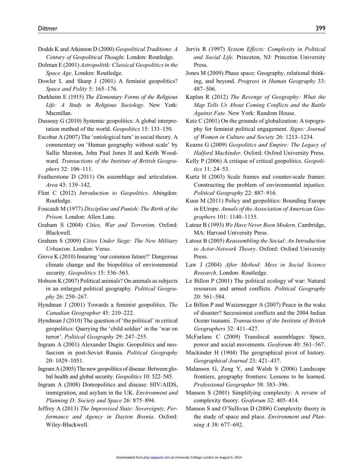- Dodds K and Atkinson D (2000) Geopolitical Traditions: A Century of Geopolitical Thought. London: Routledge.
- Dolman E (2001) Astropolitik: Classical Geopolitics in the Space Age. London: Routledge.
- Dowler L and Sharp J (2001) A feminist geopolitics? Space and Polity 5: 165–176.
- Durkheim E (1915) The Elementary Forms of the Religious Life: A Study in Religious Sociology. New York: Macmillan.
- Dussouy G (2010) Systemic geopolitics: A global interpretation method of the world. Geopolitics 15: 133–150.
- Escobar A (2007) The 'ontological turn' in social theory. A commentary on 'Human geography without scale' by Sallie Marston, John Paul Jones II and Keith Woodward. Transactions of the Institute of British Geographers 32: 106–111.
- Featherstone D (2011) On assemblage and articulation. Area 43: 139–142.
- Flint C (2012) Introduction to Geopolitics. Abingdon: Routledge.
- Foucault M (1977) Discipline and Punish: The Birth of the Prison. London: Allen Lane.
- Graham S (2004) Cities, War and Terrorism. Oxford: Blackwell.
- Graham S (2009) Cities Under Siege: The New Military Urbanism. London: Verso.
- Grove K (2010) Insuring 'our common future?' Dangerous climate change and the biopolitics of environmental security. Geopolitics 15: 536–563.
- Hobson K (2007) Political animals? On animals as subjects in an enlarged political geography. Political Geography 26: 250–267.
- Hyndman J (2001) Towards a feminist geopolitics. The Canadian Geographer 45: 210–222.
- Hyndman J (2010) The question of 'the political' in critical geopolitics: Querying the 'child soldier' in the 'war on terror'. Political Geography 29: 247–255.
- Ingram A (2001) Alexander Dugin: Geopolitics and neofascism in post-Soviet Russia. Political Geography 20: 1029–1051.
- Ingram A (2005) The new geopolitics of disease: Between global health and global security. Geopolitics 10: 522–545.
- Ingram A (2008) Domopolitics and disease: HIV/AIDS, immigration, and asylum in the UK. *Environment and* Planning D: Society and Space 26: 875–894.
- Jeffrey A (2013) The Improvised State: Sovereignty, Performance and Agency in Dayton Bosnia. Oxford: Wiley-Blackwell.
- Jervis R (1997) System Effects: Complexity in Political and Social Life. Princeton, NJ: Princeton University Press.
- Jones M (2009) Phase space: Geography, relational thinking, and beyond. Progress in Human Geography 33: 487–506.
- Kaplan R (2012) The Revenge of Geography: What the Map Tells Us About Coming Conflicts and the Battle Against Fate. New York: Random House.
- Katz C (2001) On the grounds of globalization: A topography for feminist political engagement. Signs: Journal of Women in Culture and Society 26: 1213–1234.
- Kearns G (2009) Geopolitics and Empire: The Legacy of Halford Mackinder. Oxford: Oxford University Press.
- Kelly P (2006) A critique of critical geopolitics. Geopolitics 11: 24–53.
- Kurtz H (2003) Scale frames and counter-scale frames: Constructing the problem of environmental injustice. Political Geography 22: 887–916.
- Kuus M (2011) Policy and geopolitics: Bounding Europe in EUrope. Annals of the Association of American Geographers 101: 1140–1155.
- Latour B (1993) We Have Never Been Modern. Cambridge, MA: Harvard University Press.
- Latour B (2005) Reassembling the Social: An Introduction to Actor-Network Theory. Oxford: Oxford University Press.
- Law J (2004) After Method: Mess in Social Science Research. London: Routledge.
- Le Billon P (2001) The political ecology of war: Natural resources and armed conflicts. Political Geography 20: 561–584.
- Le Billon P and Waizenegger A (2007) Peace in the wake of disaster? Secessionist conflicts and the 2004 Indian Ocean tsunami. Transactions of the Institute of British Geographers 32: 411–427.
- McFarlane C (2009) Translocal assemblages: Space, power and social movements. Geoforum 40: 561–567.
- Mackinder H (1904) The geographical pivot of history. Geographical Journal 23: 421–437.
- Malanson G, Zeng Y, and Walsh S (2006) Landscape frontiers, geography frontiers: Lessons to be learned. Professional Geographer 58: 383–396.
- Manson S (2001) Simplifying complexity: A review of complexity theory. Geoforum 32: 405–414.
- Manson S and O'Sullivan D (2006) Complexity theory in the study of space and place. Environment and Planning A 38: 677–692.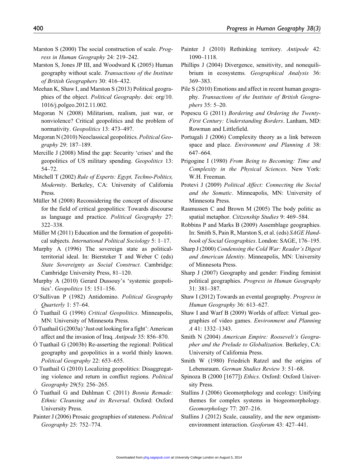Phillips J (2004) Divergence, sensitivity, and nonequilibrium in ecosystems. Geographical Analysis 36: 369–383.

Painter J (2010) Rethinking territory. Antipode 42:

1090–1118.

- Pile S (2010) Emotions and affect in recent human geography. Transactions of the Institute of British Geographers 35: 5–20.
- Popescu G (2011) Bordering and Ordering the Twenty-First Century: Understanding Borders. Lanham, MD: Rowman and Littlefield.
- Portugali J (2006) Complexity theory as a link between space and place. Environment and Planning A 38: 647–664.
- Prigogine I (1980) From Being to Becoming: Time and Complexity in the Physical Sciences. New York: W.H. Freeman.
- Protevi J (2009) Political Affect: Connecting the Social and the Somatic. Minneapolis, MN: University of Minnesota Press.
- Rasmussen C and Brown M (2005) The body politic as spatial metaphor. Citizenship Studies 9: 469–584.
- Robbins P and Marks B (2009) Assemblage geographies. In: Smith S, Pain R, Marston S, et al. (eds) SAGE Handbook of Social Geographies. London: SAGE, 176–195.
- Sharp J (2000) Condensing the Cold War: Reader's Digest and American Identity. Minneapolis, MN: University of Minnesota Press.
- Sharp J (2007) Geography and gender: Finding feminist political geographies. Progress in Human Geography 31: 381–387.
- Shaw I (2012) Towards an evental geography. Progress in Human Geography 36: 613–627.
- Shaw I and Warf B (2009) Worlds of affect: Virtual geographies of video games. Environment and Planning A 41: 1332–1343.
- Smith N (2004) American Empire: Roosevelt's Geographer and the Prelude to Globalization. Berkeley, CA: University of California Press.
- Smith W (1980) Friedrich Ratzel and the origins of Lebensraum. German Studies Review 3: 51–68.
- Spinoza B (2000 [1677]) Ethics. Oxford: Oxford University Press.
- Stallins J (2006) Geomorphology and ecology: Unifying themes for complex systems in biogeomorphology. Geomorphology 77: 207–216.
- Stallins J (2012) Scale, causality, and the new organismenvironment interaction. Geoforum 43: 427–441.
- Marston S (2000) The social construction of scale. *Prog*ress in Human Geography 24: 219–242.
- Marston S, Jones JP III, and Woodward K (2005) Human geography without scale. Transactions of the Institute of British Geographers 30: 416–432.
- Meehan K, Shaw I, and Marston S (2013) Political geographies of the object. Political Geography. doi: org/10. 1016/j.polgeo.2012.11.002.
- Megoran N (2008) Militarism, realism, just war, or nonviolence? Critical geopolitics and the problem of normativity. Geopolitics 13: 473–497.
- Megoran N (2010) Neoclassical geopolitics. Political Geography 29: 187–189.
- Mercille J (2008) Mind the gap: Security 'crises' and the geopolitics of US military spending. Geopolitics 13: 54–72.
- Mitchell T (2002) Rule of Experts: Egypt, Techno-Politics, Modernity. Berkeley, CA: University of California Press.
- Müller  $M(2008)$  Reconsidering the concept of discourse for the field of critical geopolitics: Towards discourse as language and practice. Political Geography 27: 322–338.
- Müller M (2011) Education and the formation of geopolitical subjects. International Political Sociology 5: 1–17.
- Murphy A (1996) The sovereign state as politicalterritorial ideal. In: Biersteker T and Weber C (eds) State Sovereignty as Social Construct. Cambridge: Cambridge University Press, 81–120.
- Murphy A (2010) Gerard Dussouy's 'systemic geopolitics'. Geopolitics 15: 151–156.
- O'Sullivan P (1982) Antidomino. Political Geography Quarterly 1: 57–64.
- O´ Tuathail G (1996) Critical Geopolitics. Minneapolis, MN: University of Minnesota Press.
- $\dot O$  Tuathail G (2003a) 'Just out looking for a fight': American affect and the invasion of Iraq. Antipode 35: 856–870.
- O´ Tuathail G (2003b) Re-asserting the regional: Political geography and geopolitics in a world thinly known. Political Geography 22: 653–655.
- O Tuathail G (2010) Localizing geopolitics: Disaggregating violence and return in conflict regions. Political Geography 29(5): 256–265.
- $\acute{O}$  Tuathail G and Dahlman C (2011) Bosnia Remade: Ethnic Cleansing and its Reversal. Oxford: Oxford University Press.
- Painter J (2006) Prosaic geographies of stateness. Political Geography 25: 752–774.